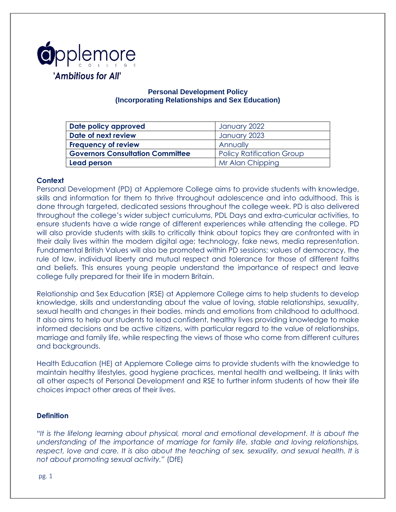

### **Personal Development Policy (Incorporating Relationships and Sex Education)**

| Date policy approved                    | January 2022                     |
|-----------------------------------------|----------------------------------|
| Date of next review                     | January 2023                     |
| <b>Frequency of review</b>              | Annually                         |
| <b>Governors Consultation Committee</b> | <b>Policy Ratification Group</b> |
| Lead person                             | Mr Alan Chipping                 |

### **Context**

Personal Development (PD) at Applemore College aims to provide students with knowledge, skills and information for them to thrive throughout adolescence and into adulthood. This is done through targeted, dedicated sessions throughout the college week. PD is also delivered throughout the college's wider subject curriculums, PDL Days and extra-curricular activities, to ensure students have a wide range of different experiences while attending the college. PD will also provide students with skills to critically think about topics they are confronted with in their daily lives within the modern digital age; technology, fake news, media representation. Fundamental British Values will also be promoted within PD sessions; values of democracy, the rule of law, individual liberty and mutual respect and tolerance for those of different faiths and beliefs. This ensures young people understand the importance of respect and leave college fully prepared for their life in modern Britain.

Relationship and Sex Education (RSE) at Applemore College aims to help students to develop knowledge, skills and understanding about the value of loving, stable relationships, sexuality, sexual health and changes in their bodies, minds and emotions from childhood to adulthood. It also aims to help our students to lead confident, healthy lives providing knowledge to make informed decisions and be active citizens, with particular regard to the value of relationships, marriage and family life, while respecting the views of those who come from different cultures and backgrounds.

Health Education (HE) at Applemore College aims to provide students with the knowledge to maintain healthy lifestyles, good hygiene practices, mental health and wellbeing. It links with all other aspects of Personal Development and RSE to further inform students of how their life choices impact other areas of their lives.

#### **Definition**

*"It is the lifelong learning about physical, moral and emotional development. It is about the understanding of the importance of marriage for family life, stable and loving relationships, respect, love and care. It is also about the teaching of sex, sexuality, and sexual health. It is not about promoting sexual activity."* (DfE)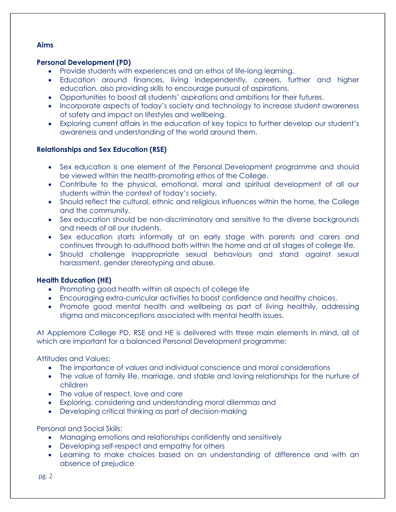### **Aims**

## **Personal Development (PD)**

- Provide students with experiences and an ethos of life-long learning.
- Education around finances, living independently, careers, further and higher education, also providing skills to encourage pursual of aspirations.
- Opportunities to boost all students' aspirations and ambitions for their futures.
- Incorporate aspects of today's society and technology to increase student awareness of safety and impact on lifestyles and wellbeing.
- Exploring current affairs in the education of key topics to further develop our student's awareness and understanding of the world around them.

# **Relationships and Sex Education (RSE)**

- Sex education is one element of the Personal Development programme and should be viewed within the health-promoting ethos of the College.
- Contribute to the physical, emotional, moral and spiritual development of all our students within the context of today's society.
- Should reflect the cultural, ethnic and religious influences within the home, the College and the community.
- Sex education should be non-discriminatory and sensitive to the diverse backgrounds and needs of all our students.
- Sex education starts informally at an early stage with parents and carers and continues through to adulthood both within the home and at all stages of college life.
- Should challenge inappropriate sexual behaviours and stand against sexual harassment, gender stereotyping and abuse.

# **Health Education (HE)**

- Promoting good health within all aspects of college life
- Encouraging extra-curricular activities to boost confidence and healthy choices.
- Promote good mental health and wellbeing as part of living healthily, addressing stigma and misconceptions associated with mental health issues.

At Applemore College PD, RSE and HE is delivered with three main elements in mind, all of which are important for a balanced Personal Development programme:

# Attitudes and Values:

- The importance of values and individual conscience and moral considerations
- The value of family life, marriage, and stable and loving relationships for the nurture of children
- The value of respect, love and care
- Exploring, considering and understanding moral dilemmas and
- Developing critical thinking as part of decision-making

Personal and Social Skills:

- Managing emotions and relationships confidently and sensitively
- Developing self-respect and empathy for others
- Learning to make choices based on an understanding of difference and with an absence of prejudice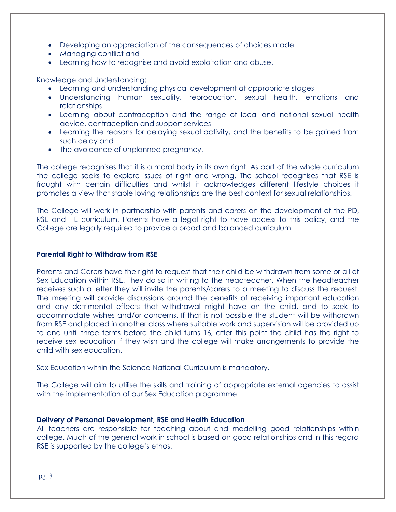- Developing an appreciation of the consequences of choices made
- Managing conflict and
- Learning how to recognise and avoid exploitation and abuse.

Knowledge and Understanding:

- Learning and understanding physical development at appropriate stages
- Understanding human sexuality, reproduction, sexual health, emotions and relationships
- Learning about contraception and the range of local and national sexual health advice, contraception and support services
- Learning the reasons for delaying sexual activity, and the benefits to be gained from such delay and
- The avoidance of unplanned pregnancy.

The college recognises that it is a moral body in its own right. As part of the whole curriculum the college seeks to explore issues of right and wrong. The school recognises that RSE is fraught with certain difficulties and whilst it acknowledges different lifestyle choices it promotes a view that stable loving relationships are the best context for sexual relationships.

The College will work in partnership with parents and carers on the development of the PD, RSE and HE curriculum. Parents have a legal right to have access to this policy, and the College are legally required to provide a broad and balanced curriculum.

### **Parental Right to Withdraw from RSE**

Parents and Carers have the right to request that their child be withdrawn from some or all of Sex Education within RSE. They do so in writing to the headteacher. When the headteacher receives such a letter they will invite the parents/carers to a meeting to discuss the request. The meeting will provide discussions around the benefits of receiving important education and any detrimental effects that withdrawal might have on the child, and to seek to accommodate wishes and/or concerns. If that is not possible the student will be withdrawn from RSE and placed in another class where suitable work and supervision will be provided up to and until three terms before the child turns 16, after this point the child has the right to receive sex education if they wish and the college will make arrangements to provide the child with sex education.

Sex Education within the Science National Curriculum is mandatory.

The College will aim to utilise the skills and training of appropriate external agencies to assist with the implementation of our Sex Education programme.

### **Delivery of Personal Development, RSE and Health Education**

All teachers are responsible for teaching about and modelling good relationships within college. Much of the general work in school is based on good relationships and in this regard RSE is supported by the college's ethos.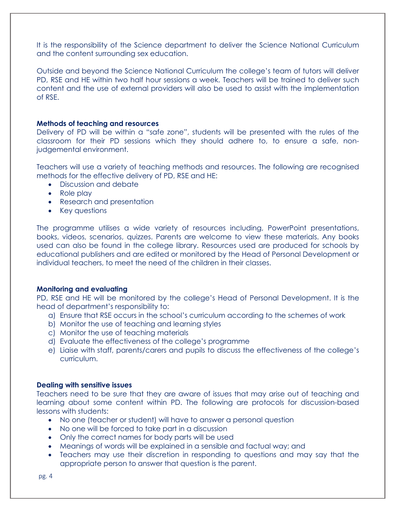It is the responsibility of the Science department to deliver the Science National Curriculum and the content surrounding sex education.

Outside and beyond the Science National Curriculum the college's team of tutors will deliver PD, RSE and HE within two half hour sessions a week. Teachers will be trained to deliver such content and the use of external providers will also be used to assist with the implementation of RSE.

#### **Methods of teaching and resources**

Delivery of PD will be within a "safe zone", students will be presented with the rules of the classroom for their PD sessions which they should adhere to, to ensure a safe, nonjudgemental environment.

Teachers will use a variety of teaching methods and resources. The following are recognised methods for the effective delivery of PD, RSE and HE:

- Discussion and debate
- Role play
- Research and presentation
- Key questions

The programme utilises a wide variety of resources including, PowerPoint presentations, books, videos, scenarios, quizzes. Parents are welcome to view these materials. Any books used can also be found in the college library. Resources used are produced for schools by educational publishers and are edited or monitored by the Head of Personal Development or individual teachers, to meet the need of the children in their classes.

#### **Monitoring and evaluating**

PD, RSE and HE will be monitored by the college's Head of Personal Development. It is the head of department's responsibility to:

- a) Ensure that RSE occurs in the school's curriculum according to the schemes of work
- b) Monitor the use of teaching and learning styles
- c) Monitor the use of teaching materials
- d) Evaluate the effectiveness of the college's programme
- e) Liaise with staff, parents/carers and pupils to discuss the effectiveness of the college's curriculum.

#### **Dealing with sensitive issues**

Teachers need to be sure that they are aware of issues that may arise out of teaching and learning about some content within PD. The following are protocols for discussion-based lessons with students:

- No one (teacher or student) will have to answer a personal question
- No one will be forced to take part in a discussion
- Only the correct names for body parts will be used
- Meanings of words will be explained in a sensible and factual way; and
- Teachers may use their discretion in responding to questions and may say that the appropriate person to answer that question is the parent.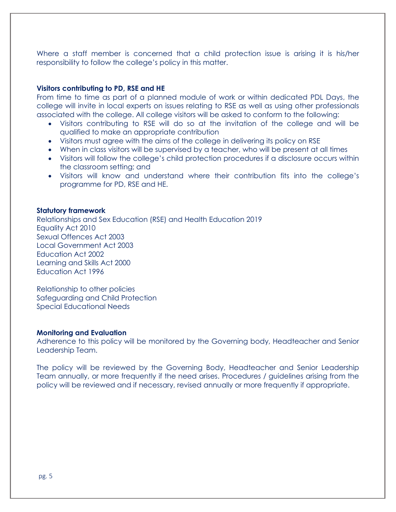Where a staff member is concerned that a child protection issue is arising it is his/her responsibility to follow the college's policy in this matter.

#### **Visitors contributing to PD, RSE and HE**

From time to time as part of a planned module of work or within dedicated PDL Days, the college will invite in local experts on issues relating to RSE as well as using other professionals associated with the college. All college visitors will be asked to conform to the following:

- Visitors contributing to RSE will do so at the invitation of the college and will be qualified to make an appropriate contribution
- Visitors must agree with the aims of the college in delivering its policy on RSE
- When in class visitors will be supervised by a teacher, who will be present at all times
- Visitors will follow the college's child protection procedures if a disclosure occurs within the classroom setting; and
- Visitors will know and understand where their contribution fits into the college's programme for PD, RSE and HE.

#### **Statutory framework**

Relationships and Sex Education (RSE) and Health Education 2019 Equality Act 2010 Sexual Offences Act 2003 Local Government Act 2003 Education Act 2002 Learning and Skills Act 2000 Education Act 1996

Relationship to other policies Safeguarding and Child Protection Special Educational Needs

#### **Monitoring and Evaluation**

Adherence to this policy will be monitored by the Governing body, Headteacher and Senior Leadership Team.

The policy will be reviewed by the Governing Body, Headteacher and Senior Leadership Team annually, or more frequently if the need arises. Procedures / guidelines arising from the policy will be reviewed and if necessary, revised annually or more frequently if appropriate.